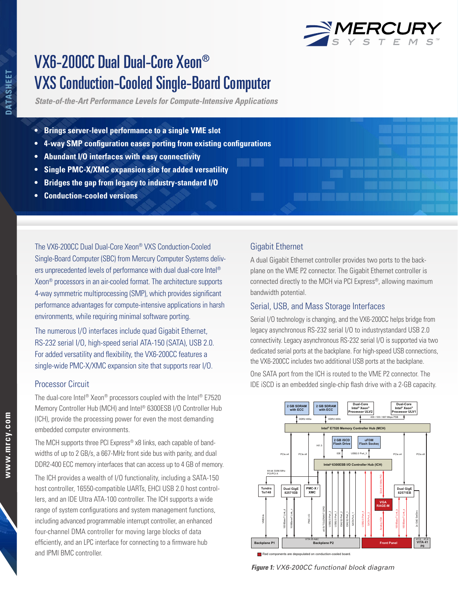VXS Conduction-Cooled Single-Board Computer

*State-of-the-Art Performance Levels for Compute-Intensive Applications*

- **• Brings server-level performance to a single VME slot**
- **• 4-way SMP configuration eases porting from existing configurations**
- **• Abundant I/O interfaces with easy connectivity**
- **• Single PMC-X/XMC expansion site for added versatility**
- **• Bridges the gap from legacy to industry-standard I/O**
- **• Conduction-cooled versions**

The VX6-200CC Dual Dual-Core Xeon® VXS Conduction-Cooled Single-Board Computer (SBC) from Mercury Computer Systems delivers unprecedented levels of performance with dual dual-core Intel® Xeon® processors in an air-cooled format. The architecture supports 4-way symmetric multiprocessing (SMP), which provides significant performance advantages for compute-intensive applications in harsh environments, while requiring minimal software porting.

The numerous I/O interfaces include quad Gigabit Ethernet, RS-232 serial I/O, high-speed serial ATA-150 (SATA), USB 2.0. For added versatility and flexibility, the VX6-200CC features a single-wide PMC-X/XMC expansion site that supports rear I/O.

# Processor Circuit

The dual-core Intel® Xeon® processors coupled with the Intel® E7520 Memory Controller Hub (MCH) and Intel® 6300ESB I/O Controller Hub (ICH), provide the processing power for even the most demanding embedded computer environments.

The MCH supports three PCI Express® x8 links, each capable of bandwidths of up to 2 GB/s, a 667-MHz front side bus with parity, and dual DDR2-400 ECC memory interfaces that can access up to 4 GB of memory.

The ICH provides a wealth of I/O functionality, including a SATA-150 host controller, 16550-compatible UARTs, EHCI USB 2.0 host controllers, and an IDE Ultra ATA-100 controller. The ICH supports a wide range of system configurations and system management functions, including advanced programmable interrupt controller, an enhanced four-channel DMA controller for moving large blocks of data efficiently, and an LPC interface for connecting to a firmware hub and IPMI BMC controller.

# Gigabit Ethernet

A dual Gigabit Ethernet controller provides two ports to the backplane on the VME P2 connector. The Gigabit Ethernet controller is connected directly to the MCH via PCI Express®, allowing maximum bandwidth potential.

# Serial, USB, and Mass Storage Interfaces

Serial I/O technology is changing, and the VX6-200CC helps bridge from legacy asynchronous RS-232 serial I/O to industrystandard USB 2.0 connectivity. Legacy asynchronous RS-232 serial I/O is supported via two dedicated serial ports at the backplane. For high-speed USB connections, the VX6-200CC includes two additional USB ports at the backplane.

One SATA port from the ICH is routed to the VME P2 connector. The IDE iSCD is an embedded single-chip flash drive with a 2-GB capacity.



*Figure 1: VX6-200CC functional block diagram*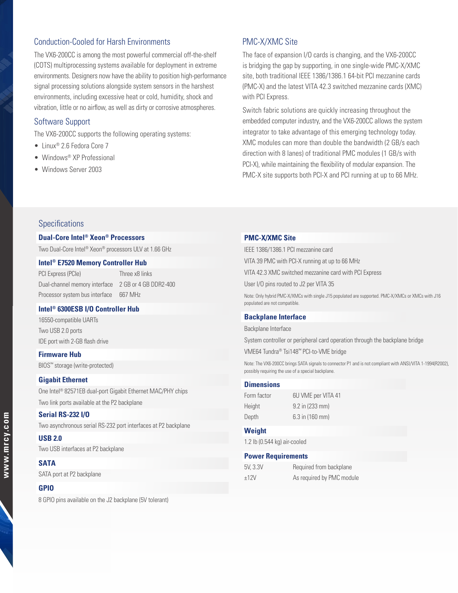# Conduction-Cooled for Harsh Environments

The VX6-200CC is among the most powerful commercial off-the-shelf (COTS) multiprocessing systems available for deployment in extreme environments. Designers now have the ability to position high-performance signal processing solutions alongside system sensors in the harshest environments, including excessive heat or cold, humidity, shock and vibration, little or no airflow, as well as dirty or corrosive atmospheres.

### Software Support

The VX6-200CC supports the following operating systems:

- Linux® 2.6 Fedora Core 7
- Windows® XP Professional
- Windows Server 2003

# PMC-X/XMC Site

The face of expansion I/O cards is changing, and the VX6-200CC is bridging the gap by supporting, in one single-wide PMC-X/XMC site, both traditional IEEE 1386/1386.1 64-bit PCI mezzanine cards (PMC-X) and the latest VITA 42.3 switched mezzanine cards (XMC) with PCI Express.

Switch fabric solutions are quickly increasing throughout the embedded computer industry, and the VX6-200CC allows the system integrator to take advantage of this emerging technology today. XMC modules can more than double the bandwidth (2 GB/s each direction with 8 lanes) of traditional PMC modules (1 GB/s with PCI-X), while maintaining the flexibility of modular expansion. The PMC-X site supports both PCI-X and PCI running at up to 66 MHz.

## Specifications

### **Dual-Core Intel® Xeon® Processors**

Two Dual-Core Intel® Xeon® processors ULV at 1.66 GHz

#### **Intel® E7520 Memory Controller Hub**

PCI Express (PCIe) Three x8 links Dual-channel memory interface 2 GB or 4 GB DDR2-400 Processor system bus interface 667 MHz

### **Intel® 6300ESB I/O Controller Hub**

16550-compatible UARTs Two USB 2.0 ports IDE port with 2-GB flash drive

**Firmware Hub**  BIOS™ storage (write-protected)

#### **Gigabit Ethernet**

One Intel® 82571EB dual-port Gigabit Ethernet MAC/PHY chips Two link ports available at the P2 backplane

#### **Serial RS-232 I/O**

Two asynchronous serial RS-232 port interfaces at P2 backplane

### **USB 2.0**

Two USB interfaces at P2 backplane

## **SATA**

SATA port at P2 backplane

#### **GPIO**

8 GPIO pins available on the J2 backplane (5V tolerant)

#### **PMC-X/XMC Site**

IEEE 1386/1386.1 PCI mezzanine card VITA 39 PMC with PCI-X running at up to 66 MHz VITA 42.3 XMC switched mezzanine card with PCI Express User I/O pins routed to J2 per VITA 35 Note: Only hybrid PMC-X/XMCs with single J15 populated are supported. PMC-X/XMCs or XMCs with J16 populated are not compatible.

#### **Backplane Interface**

Backplane Interface

System controller or peripheral card operation through the backplane bridge

VME64 Tundra® Tsi148™ PCI-to-VME bridge

Note: The VX6-200CC brings SATA signals to connector P1 and is not compliant with ANSI/VITA 1-1994(R2002), possibly requiring the use of a special backplane.

#### **Dimensions**

| Form factor | 6U VME per VITA 41 |
|-------------|--------------------|
| Height      | 9.2 in (233 mm)    |
| Depth       | 6.3 in (160 mm)    |

#### **Weight**

1.2 lb (0.544 kg) air-cooled

### **Power Requirements**

| 5V, 3.3V |  |
|----------|--|
| ±12V     |  |

Required from backplane As required by PMC module